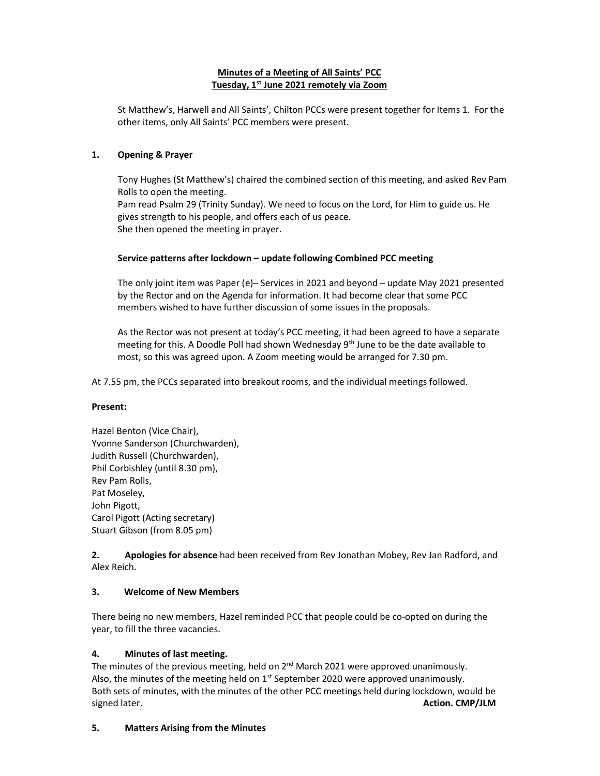# Minutes of a Meeting of All Saints' PCC Tuesday, 1<sup>st</sup> June 2021 remotely via Zoom

St Matthew's, Harwell and All Saints', Chilton PCCs were present together for Items 1. For the other items, only All Saints' PCC members were present.

## 1. Opening & Prayer

Tony Hughes (St Matthew's) chaired the combined section of this meeting, and asked Rev Pam Rolls to open the meeting. Pam read Psalm 29 (Trinity Sunday). We need to focus on the Lord, for Him to guide us. He gives strength to his people, and offers each of us peace. She then opened the meeting in prayer.

## Service patterns after lockdown – update following Combined PCC meeting

The only joint item was Paper (e)– Services in 2021 and beyond – update May 2021 presented by the Rector and on the Agenda for information. It had become clear that some PCC members wished to have further discussion of some issues in the proposals.

As the Rector was not present at today's PCC meeting, it had been agreed to have a separate meeting for this. A Doodle Poll had shown Wednesday 9<sup>th</sup> June to be the date available to most, so this was agreed upon. A Zoom meeting would be arranged for 7.30 pm.

At 7.55 pm, the PCCs separated into breakout rooms, and the individual meetings followed.

#### Present:

Hazel Benton (Vice Chair), Yvonne Sanderson (Churchwarden), Judith Russell (Churchwarden), Phil Corbishley (until 8.30 pm), Rev Pam Rolls, Pat Moseley, John Pigott, Carol Pigott (Acting secretary) Stuart Gibson (from 8.05 pm)

2. Apologies for absence had been received from Rev Jonathan Mobey, Rev Jan Radford, and Alex Reich.

#### 3. Welcome of New Members

There being no new members, Hazel reminded PCC that people could be co-opted on during the year, to fill the three vacancies.

# 4. Minutes of last meeting.

The minutes of the previous meeting, held on  $2<sup>nd</sup>$  March 2021 were approved unanimously. Also, the minutes of the meeting held on  $1<sup>st</sup>$  September 2020 were approved unanimously. Both sets of minutes, with the minutes of the other PCC meetings held during lockdown, would be signed later. **Action. CMP/JLM** 

#### 5. Matters Arising from the Minutes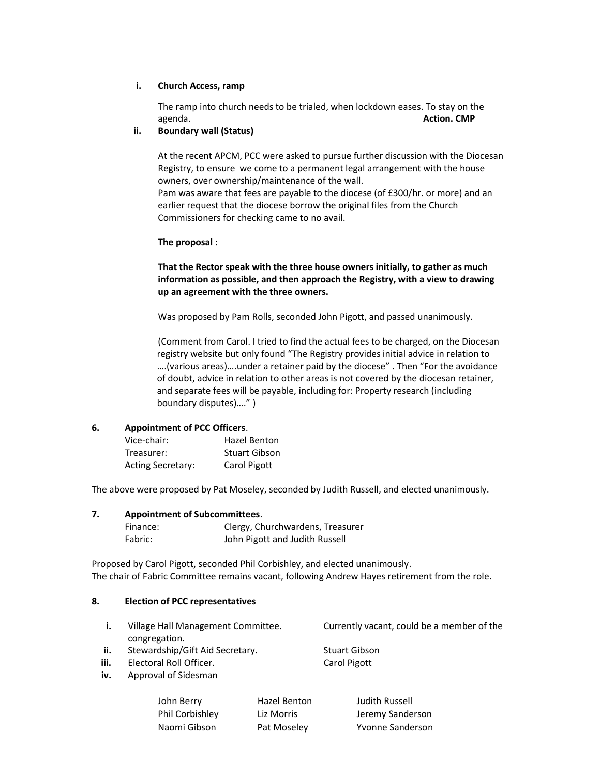### i. Church Access, ramp

The ramp into church needs to be trialed, when lockdown eases. To stay on the agenda. **Action. CMP** and the contract of the contract of the contract of the contract of the contract of the contract of the contract of the contract of the contract of the contract of the contract of the contract of the

### ii. Boundary wall (Status)

At the recent APCM, PCC were asked to pursue further discussion with the Diocesan Registry, to ensure we come to a permanent legal arrangement with the house owners, over ownership/maintenance of the wall. Pam was aware that fees are payable to the diocese (of £300/hr. or more) and an earlier request that the diocese borrow the original files from the Church

## The proposal :

Commissioners for checking came to no avail.

That the Rector speak with the three house owners initially, to gather as much information as possible, and then approach the Registry, with a view to drawing up an agreement with the three owners.

Was proposed by Pam Rolls, seconded John Pigott, and passed unanimously.

 (Comment from Carol. I tried to find the actual fees to be charged, on the Diocesan registry website but only found "The Registry provides initial advice in relation to ….(various areas)….under a retainer paid by the diocese" . Then "For the avoidance of doubt, advice in relation to other areas is not covered by the diocesan retainer, and separate fees will be payable, including for: Property research (including boundary disputes)…." )

#### 6. Appointment of PCC Officers.

| Vice-chair:       | Hazel Benton  |
|-------------------|---------------|
| Treasurer:        | Stuart Gibson |
| Acting Secretary: | Carol Pigott  |

The above were proposed by Pat Moseley, seconded by Judith Russell, and elected unanimously.

#### 7. Appointment of Subcommittees.

| Finance: | Clergy, Churchwardens, Treasurer |
|----------|----------------------------------|
| Fabric:  | John Pigott and Judith Russell   |

Proposed by Carol Pigott, seconded Phil Corbishley, and elected unanimously. The chair of Fabric Committee remains vacant, following Andrew Hayes retirement from the role.

#### 8. Election of PCC representatives

|      | Village Hall Management Committee. | Currently vacant, could be a member of the |
|------|------------------------------------|--------------------------------------------|
|      | congregation.                      |                                            |
| ii.  | Stewardship/Gift Aid Secretary.    | <b>Stuart Gibson</b>                       |
| iii. | Electoral Roll Officer.            | Carol Pigott                               |
| iv.  | Approval of Sidesman               |                                            |
|      |                                    |                                            |

| John Berry      | Hazel Benton | Judith Russell   |
|-----------------|--------------|------------------|
| Phil Corbishley | Liz Morris   | Jeremy Sanderson |
| Naomi Gibson    | Pat Moseley  | Yvonne Sanderson |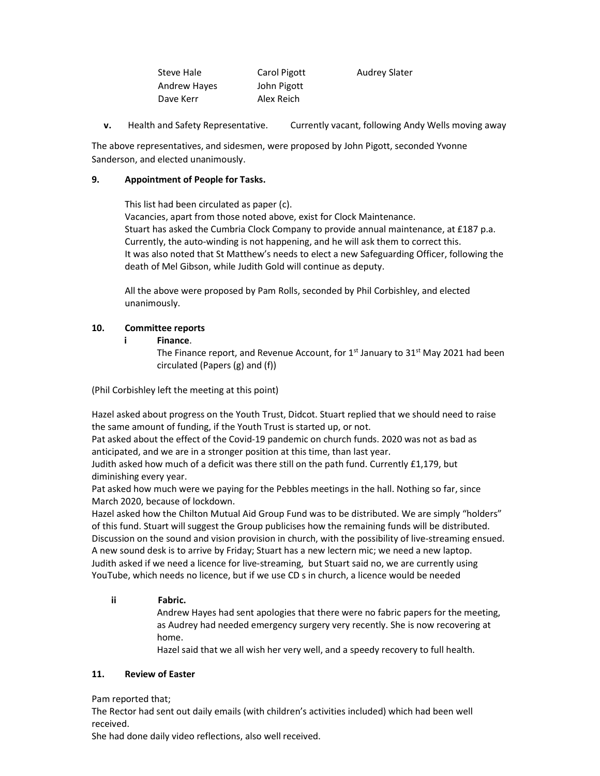| Steve Hale          | Carol Pigott | <b>Audrey Slater</b> |
|---------------------|--------------|----------------------|
| <b>Andrew Hayes</b> | John Pigott  |                      |
| Dave Kerr           | Alex Reich   |                      |

v. Health and Safety Representative. Currently vacant, following Andy Wells moving away

The above representatives, and sidesmen, were proposed by John Pigott, seconded Yvonne Sanderson, and elected unanimously.

## 9. Appointment of People for Tasks.

This list had been circulated as paper (c).

 Vacancies, apart from those noted above, exist for Clock Maintenance. Stuart has asked the Cumbria Clock Company to provide annual maintenance, at £187 p.a. Currently, the auto-winding is not happening, and he will ask them to correct this. It was also noted that St Matthew's needs to elect a new Safeguarding Officer, following the death of Mel Gibson, while Judith Gold will continue as deputy.

All the above were proposed by Pam Rolls, seconded by Phil Corbishley, and elected unanimously.

## 10. Committee reports

#### i Finance.

The Finance report, and Revenue Account, for  $1<sup>st</sup>$  January to 31<sup>st</sup> May 2021 had been circulated (Papers (g) and (f))

(Phil Corbishley left the meeting at this point)

Hazel asked about progress on the Youth Trust, Didcot. Stuart replied that we should need to raise the same amount of funding, if the Youth Trust is started up, or not.

Pat asked about the effect of the Covid-19 pandemic on church funds. 2020 was not as bad as anticipated, and we are in a stronger position at this time, than last year.

Judith asked how much of a deficit was there still on the path fund. Currently £1,179, but diminishing every year.

Pat asked how much were we paying for the Pebbles meetings in the hall. Nothing so far, since March 2020, because of lockdown.

Hazel asked how the Chilton Mutual Aid Group Fund was to be distributed. We are simply "holders" of this fund. Stuart will suggest the Group publicises how the remaining funds will be distributed. Discussion on the sound and vision provision in church, with the possibility of live-streaming ensued. A new sound desk is to arrive by Friday; Stuart has a new lectern mic; we need a new laptop. Judith asked if we need a licence for live-streaming, but Stuart said no, we are currently using YouTube, which needs no licence, but if we use CD s in church, a licence would be needed

# ii Fabric.

Andrew Hayes had sent apologies that there were no fabric papers for the meeting, as Audrey had needed emergency surgery very recently. She is now recovering at home.

Hazel said that we all wish her very well, and a speedy recovery to full health.

# 11. Review of Easter

Pam reported that;

The Rector had sent out daily emails (with children's activities included) which had been well received.

She had done daily video reflections, also well received.